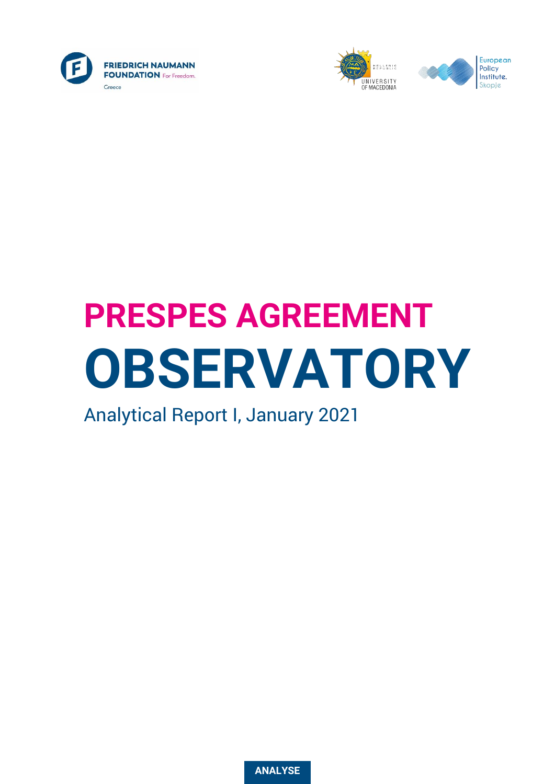





# **PRESPES AGREEMENT OBSERVATORY**

Analytical Report I, January 2021

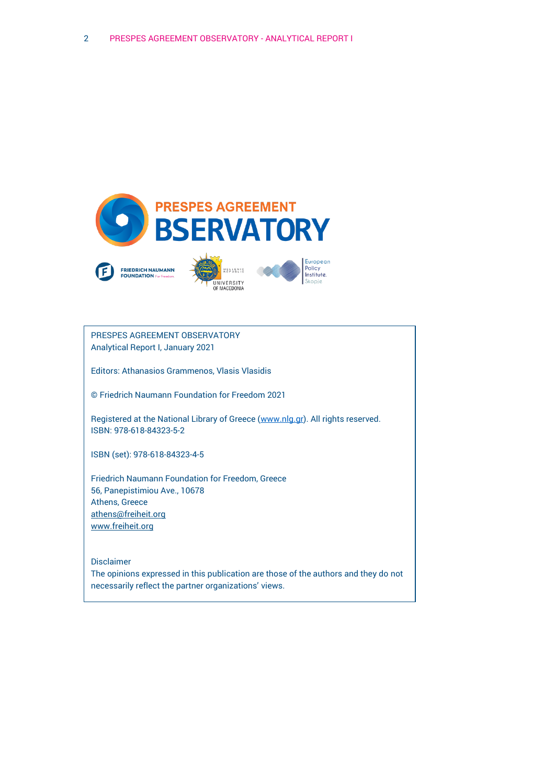

PRESPES AGREEMENT OBSERVATORY Analytical Report I, January 2021

Editors: Athanasios Grammenos, Vlasis Vlasidis

© Friedrich Naumann Foundation for Freedom 2021

Registered at the National Library of Greece [\(www.nlg.gr\)](http://www.nlg.gr/). All rights reserved. ISBN: 978-618-84323-5-2

ISBN (set): 978-618-84323-4-5

Friedrich Naumann Foundation for Freedom, Greece 56, Panepistimiou Ave., 10678 Athens, Greece [athens@freiheit.org](mailto:athens@freiheit.org) [www.freiheit.org](http://www.freiheit.org/)

Disclaimer The opinions expressed in this publication are those of the authors and they do not necessarily reflect the partner organizations' views.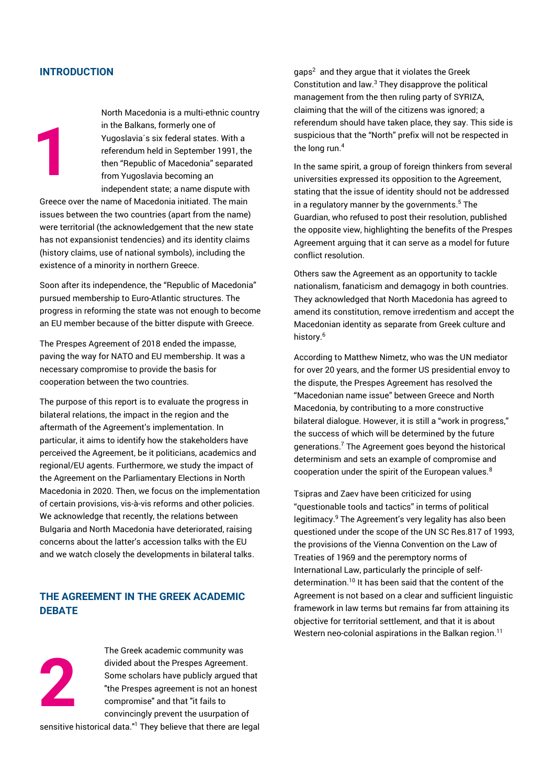# **INTRODUCTION**

**1**

North Macedonia is a multi-ethnic country in the Balkans, formerly one of Yugoslavia´s six federal states. With a referendum held in September 1991, the then "Republic of Macedonia" separated from Yugoslavia becoming an independent state; a name dispute with

Greece over the name of Macedonia initiated. The main issues between the two countries (apart from the name) were territorial (the acknowledgement that the new state has not expansionist tendencies) and its identity claims (history claims, use of national symbols), including the existence of a minority in northern Greece.

Soon after its independence, the "Republic of Macedonia" pursued membership to Euro-Atlantic structures. The progress in reforming the state was not enough to become an EU member because of the bitter dispute with Greece.

The Prespes Agreement of 2018 ended the impasse, paving the way for NATO and EU membership. It was a necessary compromise to provide the basis for cooperation between the two countries.

The purpose of this report is to evaluate the progress in bilateral relations, the impact in the region and the aftermath of the Agreement's implementation. In particular, it aims to identify how the stakeholders have perceived the Agreement, be it politicians, academics and regional/EU agents. Furthermore, we study the impact of the Agreement on the Parliamentary Elections in North Macedonia in 2020. Then, we focus on the implementation of certain provisions, vis-à-vis reforms and other policies. We acknowledge that recently, the relations between Bulgaria and North Macedonia have deteriorated, raising concerns about the latter's accession talks with the EU and we watch closely the developments in bilateral talks.

# **THE AGREEMENT IN THE GREEK ACADEMIC DEBATE**



The Greek academic community was divided about the Prespes Agreement. Some scholars have publicly argued that "the Prespes agreement is not an honest compromise" and that "it fails to convincingly prevent the usurpation of

sensitive historical data."<sup>1</sup> They believe that there are legal

gaps<sup>2</sup> and they argue that it violates the Greek Constitution and law. $3$  They disapprove the political management from the then ruling party of SYRIZA, claiming that the will of the citizens was ignored; a referendum should have taken place, they say. This side is suspicious that the "North" prefix will not be respected in the long run. 4

In the same spirit, a group of foreign thinkers from several universities expressed its opposition to the Agreement, stating that the issue of identity should not be addressed in a regulatory manner by the governments. <sup>5</sup> The Guardian, who refused to post their resolution, published the opposite view, highlighting the benefits of the Prespes Agreement arguing that it can serve as a model for future conflict resolution.

Others saw the Agreement as an opportunity to tackle nationalism, fanaticism and demagogy in both countries. They acknowledged that North Macedonia has agreed to amend its constitution, remove irredentism and accept the Macedonian identity as separate from Greek culture and history.<sup>6</sup>

According to Matthew Nimetz, who was the UN mediator for over 20 years, and the former US presidential envoy to the dispute, the Prespes Agreement has resolved the "Macedonian name issue" between Greece and North Macedonia, by contributing to a more constructive bilateral dialogue. However, it is still a "work in progress," the success of which will be determined by the future generations.<sup>7</sup> The Agreement goes beyond the historical determinism and sets an example of compromise and cooperation under the spirit of the European values.<sup>8</sup>

Tsipras and Zaev have been criticized for using "questionable tools and tactics" in terms of political legitimacy.<sup>9</sup> The Agreement's very legality has also been questioned under the scope of the UN SC Res.817 of 1993, the provisions of the Vienna Convention on the Law of Treaties of 1969 and the peremptory norms of International Law, particularly the principle of selfdetermination. <sup>10</sup> It has been said that the content of the Agreement is not based on a clear and sufficient linguistic framework in law terms but remains far from attaining its objective for territorial settlement, and that it is about Western neo-colonial aspirations in the Balkan region.<sup>11</sup>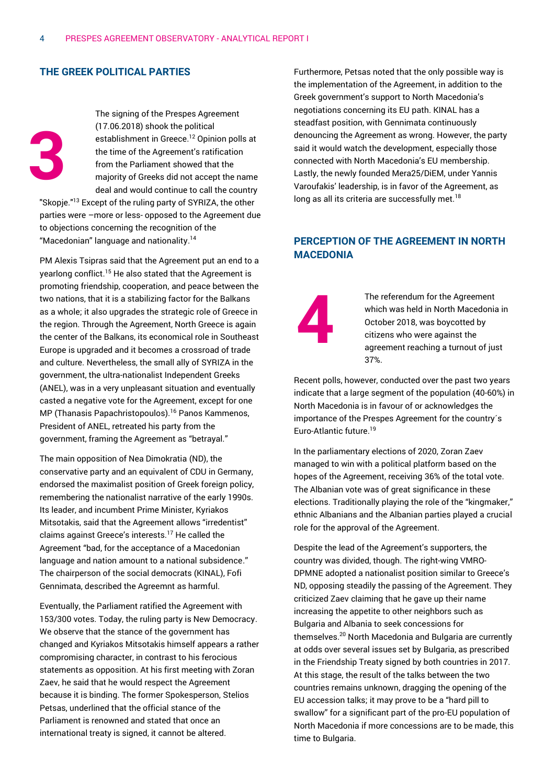# **THE GREEK POLITICAL PARTIES**

**3**

The signing of the Prespes Agreement (17.06.2018) shook the political establishment in Greece. <sup>12</sup> Opinion polls at the time of the Agreement's ratification from the Parliament showed that the majority of Greeks did not accept the name deal and would continue to call the country

"Skopje."<sup>13</sup> Except of the ruling party of SYRIZA, the other parties were –more or less- opposed to the Agreement due to objections concerning the recognition of the "Macedonian" language and nationality. 14

PM Alexis Tsipras said that the Agreement put an end to a yearlong conflict.<sup>15</sup> He also stated that the Agreement is promoting friendship, cooperation, and peace between the two nations, that it is a stabilizing factor for the Balkans as a whole; it also upgrades the strategic role of Greece in the region. Through the Agreement, North Greece is again the center of the Balkans, its economical role in Southeast Europe is upgraded and it becomes a crossroad of trade and culture. Nevertheless, the small ally of SYRIZA in the government, the ultra-nationalist Independent Greeks (ANEL), was in a very unpleasant situation and eventually casted a negative vote for the Agreement, except for one MP (Thanasis Papachristopoulos). <sup>16</sup> Panos Kammenos, President of ANEL, retreated his party from the government, framing the Agreement as "betrayal."

The main opposition of Nea Dimokratia (ND), the conservative party and an equivalent of CDU in Germany, endorsed the maximalist position of Greek foreign policy, remembering the nationalist narrative of the early 1990s. Its leader, and incumbent Prime Minister, Kyriakos Mitsotakis, said that the Agreement allows "irredentist" claims against Greece's interests.<sup>17</sup> He called the Agreement "bad, for the acceptance of a Macedonian language and nation amount to a national subsidence." The chairperson of the social democrats (KINAL), Fofi Gennimata, described the Agreemnt as harmful.

Eventually, the Parliament ratified the Agreement with 153/300 votes. Today, the ruling party is New Democracy. We observe that the stance of the government has changed and Kyriakos Mitsotakis himself appears a rather compromising character, in contrast to his ferocious statements as opposition. At his first meeting with Zoran Zaev, he said that he would respect the Agreement because it is binding. The former Spokesperson, Stelios Petsas, underlined that the official stance of the Parliament is renowned and stated that once an international treaty is signed, it cannot be altered.

Furthermore, Petsas noted that the only possible way is the implementation of the Agreement, in addition to the Greek government's support to North Macedonia's negotiations concerning its EU path. KINAL has a steadfast position, with Gennimata continuously denouncing the Agreement as wrong. However, the party said it would watch the development, especially those connected with North Macedonia's EU membership. Lastly, the newly founded Mera25/DiEM, under Yannis Varoufakis' leadership, is in favor of the Agreement, as long as all its criteria are successfully met.<sup>18</sup>

# **PERCEPTION OF THE AGREEMENT IN NORTH MACEDONIA**

**4**

The referendum for the Agreement which was held in North Macedonia in October 2018, was boycotted by citizens who were against the agreement reaching a turnout of just 37%.

Recent polls, however, conducted over the past two years indicate that a large segment of the population (40-60%) in North Macedonia is in favour of or acknowledges the importance of the Prespes Agreement for the country´s Euro-Atlantic future. 19

In the parliamentary elections of 2020, Zoran Zaev managed to win with a political platform based on the hopes of the Agreement, receiving 36% of the total vote. The Albanian vote was of great significance in these elections. Traditionally playing the role of the "kingmaker," ethnic Albanians and the Albanian parties played a crucial role for the approval of the Agreement.

Despite the lead of the Agreement's supporters, the country was divided, though. The right-wing VMRO-DPMNE adopted a nationalist position similar to Greece's ND, opposing steadily the passing of the Agreement. They criticized Zaev claiming that he gave up their name increasing the appetite to other neighbors such as Bulgaria and Albania to seek concessions for themselves.<sup>20</sup> North Macedonia and Bulgaria are currently at odds over several issues set by Bulgaria, as prescribed in the Friendship Treaty signed by both countries in 2017. At this stage, the result of the talks between the two countries remains unknown, dragging the opening of the EU accession talks; it may prove to be a "hard pill to swallow" for a significant part of the pro-EU population of North Macedonia if more concessions are to be made, this time to Bulgaria.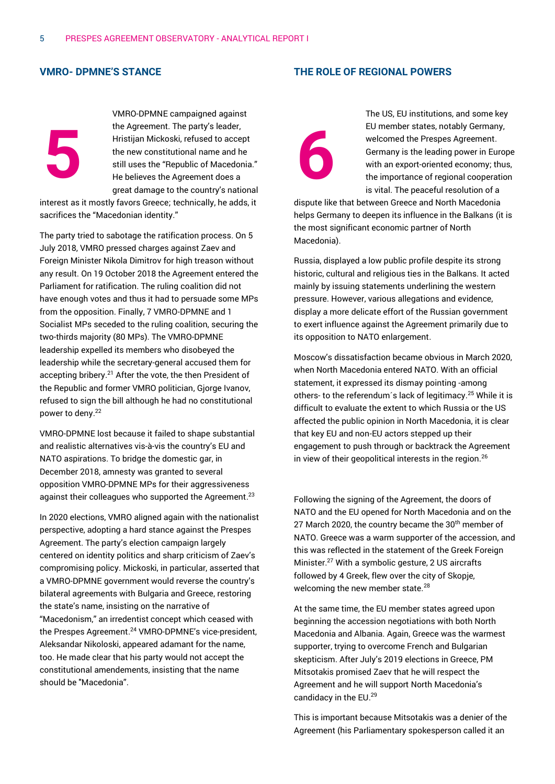## **VMRO- DPMNE'S STANCE**



interest as it mostly favors Greece; technically, he adds, it sacrifices the "Macedonian identity."

The party tried to sabotage the ratification process. On 5 July 2018, VMRO pressed charges against Zaev and Foreign Minister Nikola Dimitrov for high treason without any result. On 19 October 2018 the Agreement entered the Parliament for ratification. The ruling coalition did not have enough votes and thus it had to persuade some MPs from the opposition. Finally, 7 VMRO-DPMNE and 1 Socialist MPs seceded to the ruling coalition, securing the two-thirds majority (80 MPs). The VMRO-DPMNE leadership expelled its members who disobeyed the leadership while the secretary-general accused them for accepting bribery.<sup>21</sup> After the vote, the then President of the Republic and former VMRO politician, Gjorge Ivanov, refused to sign the bill although he had no constitutional power to deny. 22

VMRO-DPMNE lost because it failed to shape substantial and realistic alternatives vis-à-vis the country's EU and NATO aspirations. To bridge the domestic gar, in December 2018, amnesty was granted to several opposition VMRO-DPMNE MPs for their aggressiveness against their colleagues who supported the Agreement.<sup>23</sup>

In 2020 elections, VMRO aligned again with the nationalist perspective, adopting a hard stance against the Prespes Agreement. The party's election campaign largely centered on identity politics and sharp criticism of Zaev's compromising policy. Mickoski, in particular, asserted that a VMRO-DPMNE government would reverse the country's bilateral agreements with Bulgaria and Greece, restoring the state's name, insisting on the narrative of "Macedonism," an irredentist concept which ceased with the Prespes Agreement. <sup>24</sup> VMRO-DPMNE's vice-president, Aleksandar Nikoloski, appeared adamant for the name, too. He made clear that his party would not accept the constitutional amendements, insisting that the name should be "Macedonia".

# **THE ROLE OF REGIONAL POWERS**



The US, EU institutions, and some key EU member states, notably Germany, welcomed the Prespes Agreement. Germany is the leading power in Europe with an export-oriented economy; thus, the importance of regional cooperation is vital. The peaceful resolution of a

dispute like that between Greece and North Macedonia helps Germany to deepen its influence in the Balkans (it is the most significant economic partner of North Macedonia).

Russia, displayed a low public profile despite its strong historic, cultural and religious ties in the Balkans. It acted mainly by issuing statements underlining the western pressure. However, various allegations and evidence, display a more delicate effort of the Russian government to exert influence against the Agreement primarily due to its opposition to NATO enlargement.

Moscow's dissatisfaction became obvious in March 2020, when North Macedonia entered NATO. With an official statement, it expressed its dismay pointing -among others- to the referendum's lack of legitimacy.<sup>25</sup> While it is difficult to evaluate the extent to which Russia or the US affected the public opinion in North Macedonia, it is clear that key EU and non-EU actors stepped up their engagement to push through or backtrack the Agreement in view of their geopolitical interests in the region.<sup>26</sup>

Following the signing of the Agreement, the doors of NATO and the EU opened for North Macedonia and on the 27 March 2020, the country became the 30<sup>th</sup> member of NATO. Greece was a warm supporter of the accession, and this was reflected in the statement of the Greek Foreign Minister. <sup>27</sup> With a symbolic gesture, 2 US aircrafts followed by 4 Greek, flew over the city of Skopje, welcoming the new member state.<sup>28</sup>

At the same time, the EU member states agreed upon beginning the accession negotiations with both North Macedonia and Albania. Again, Greece was the warmest supporter, trying to overcome French and Bulgarian skepticism. After July's 2019 elections in Greece, PM Mitsotakis promised Zaev that he will respect the Agreement and he will support North Macedonia's candidacy in the EU. 29

This is important because Mitsotakis was a denier of the Agreement (his Parliamentary spokesperson called it an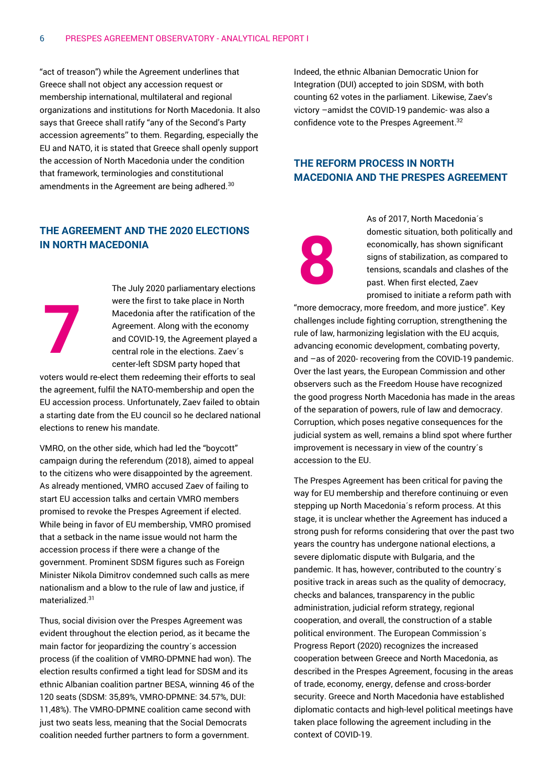"act of treason") while the Agreement underlines that Greece shall not object any accession request or membership international, multilateral and regional organizations and institutions for North Macedonia. It also says that Greece shall ratify "any of the Second's Party accession agreements'' to them. Regarding, especially the EU and NATO, it is stated that Greece shall openly support the accession of North Macedonia under the condition that framework, terminologies and constitutional amendments in the Agreement are being adhered.<sup>30</sup>

# **THE AGREEMENT AND THE 2020 ELECTIONS IN NORTH MACEDONIA**

The July 2020 parliamentary elections were the first to take place in North Macedonia after the ratification of the Agreement. Along with the economy and COVID-19, the Agreement played a central role in the elections. Zaev´s center-left SDSM party hoped that

voters would re-elect them redeeming their efforts to seal the agreement, fulfil the NATO-membership and open the EU accession process. Unfortunately, Zaev failed to obtain a starting date from the EU council so he declared national elections to renew his mandate.

**7**

VMRO, on the other side, which had led the "boycott" campaign during the referendum (2018), aimed to appeal to the citizens who were disappointed by the agreement. As already mentioned, VMRO accused Zaev of failing to start EU accession talks and certain VMRO members promised to revoke the Prespes Agreement if elected. While being in favor of EU membership, VMRO promised that a setback in the name issue would not harm the accession process if there were a change of the government. Prominent SDSM figures such as Foreign Minister Nikola Dimitrov condemned such calls as mere nationalism and a blow to the rule of law and justice, if materialized.<sup>31</sup>

Thus, social division over the Prespes Agreement was evident throughout the election period, as it became the main factor for jeopardizing the country´s accession process (if the coalition of VMRO-DPMNE had won). The election results confirmed a tight lead for SDSM and its ethnic Albanian coalition partner BESA, winning 46 of the 120 seats (SDSM: 35,89%, VMRO-DPMNE: 34.57%, DUI: 11,48%). The VMRO-DPMNE coalition came second with just two seats less, meaning that the Social Democrats coalition needed further partners to form a government.

Indeed, the ethnic Albanian Democratic Union for Integration (DUI) accepted to join SDSM, with both counting 62 votes in the parliament. Likewise, Zaev's victory –amidst the COVID-19 pandemic- was also a confidence vote to the Prespes Agreement.<sup>32</sup>

# **THE REFORM PROCESS IN NORTH MACEDONIA AND THE PRESPES AGREEMENT**

**8**

As of 2017, North Macedonia´s domestic situation, both politically and economically, has shown significant signs of stabilization, as compared to tensions, scandals and clashes of the past. When first elected, Zaev promised to initiate a reform path with

"more democracy, more freedom, and more justice". Key challenges include fighting corruption, strengthening the rule of law, harmonizing legislation with the EU acquis, advancing economic development, combating poverty, and –as of 2020- recovering from the COVID-19 pandemic. Over the last years, the European Commission and other observers such as the Freedom House have recognized the good progress North Macedonia has made in the areas of the separation of powers, rule of law and democracy. Corruption, which poses negative consequences for the judicial system as well, remains a blind spot where further improvement is necessary in view of the country´s accession to the EU.

The Prespes Agreement has been critical for paving the way for EU membership and therefore continuing or even stepping up North Macedonia´s reform process. At this stage, it is unclear whether the Agreement has induced a strong push for reforms considering that over the past two years the country has undergone national elections, a severe diplomatic dispute with Bulgaria, and the pandemic. It has, however, contributed to the country´s positive track in areas such as the quality of democracy, checks and balances, transparency in the public administration, judicial reform strategy, regional cooperation, and overall, the construction of a stable political environment. The European Commission´s Progress Report (2020) recognizes the increased cooperation between Greece and North Macedonia, as described in the Prespes Agreement, focusing in the areas of trade, economy, energy, defense and cross-border security. Greece and North Macedonia have established diplomatic contacts and high-level political meetings have taken place following the agreement including in the context of COVID-19.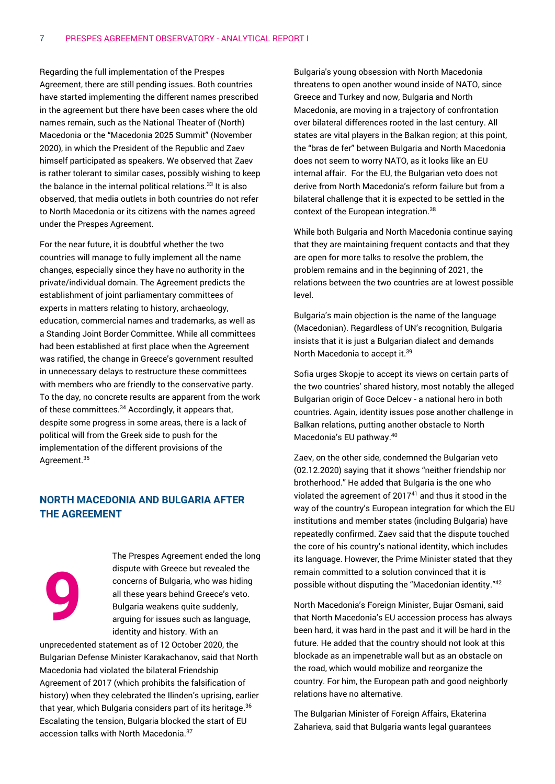Regarding the full implementation of the Prespes Agreement, there are still pending issues. Both countries have started implementing the different names prescribed in the agreement but there have been cases where the old names remain, such as the National Theater of (North) Macedonia or the "Macedonia 2025 Summit" (November 2020), in which the President of the Republic and Zaev himself participated as speakers. We observed that Zaev is rather tolerant to similar cases, possibly wishing to keep the balance in the internal political relations. $33$  It is also observed, that media outlets in both countries do not refer to North Macedonia or its citizens with the names agreed under the Prespes Agreement.

For the near future, it is doubtful whether the two countries will manage to fully implement all the name changes, especially since they have no authority in the private/individual domain. The Agreement predicts the establishment of joint parliamentary committees of experts in matters relating to history, archaeology, education, commercial names and trademarks, as well as a Standing Joint Border Committee. While all committees had been established at first place when the Agreement was ratified, the change in Greece's government resulted in unnecessary delays to restructure these committees with members who are friendly to the conservative party. To the day, no concrete results are apparent from the work of these committees. <sup>34</sup> Accordingly, it appears that, despite some progress in some areas, there is a lack of political will from the Greek side to push for the implementation of the different provisions of the Agreement.<sup>35</sup>

# **NORTH MACEDONIA AND BULGARIA AFTER THE AGREEMENT**

**9**

The Prespes Agreement ended the long dispute with Greece but revealed the concerns of Bulgaria, who was hiding all these years behind Greece's veto. Bulgaria weakens quite suddenly, arguing for issues such as language, identity and history. With an

unprecedented statement as of 12 October 2020, the Bulgarian Defense Minister Karakachanov, said that North Macedonia had violated the bilateral Friendship Agreement of 2017 (which prohibits the falsification of history) when they celebrated the Ilinden's uprising, earlier that year, which Bulgaria considers part of its heritage. 36 Escalating the tension, Bulgaria blocked the start of EU accession talks with North Macedonia. 37

Bulgaria's young obsession with North Macedonia threatens to open another wound inside of NATO, since Greece and Turkey and now, Bulgaria and North Macedonia, are moving in a trajectory of confrontation over bilateral differences rooted in the last century. All states are vital players in the Balkan region; at this point, the "bras de fer" between Bulgaria and North Macedonia does not seem to worry NATO, as it looks like an EU internal affair. For the EU, the Bulgarian veto does not derive from North Macedonia's reform failure but from a bilateral challenge that it is expected to be settled in the context of the European integration.<sup>38</sup>

While both Bulgaria and North Macedonia continue saying that they are maintaining frequent contacts and that they are open for more talks to resolve the problem, the problem remains and in the beginning of 2021, the relations between the two countries are at lowest possible level.

Bulgaria's main objection is the name of the language (Macedonian). Regardless of UN's recognition, Bulgaria insists that it is just a Bulgarian dialect and demands North Macedonia to accept it.<sup>39</sup>

Sofia urges Skopje to accept its views on certain parts of the two countries' shared history, most notably the alleged Bulgarian origin of Goce Delcev - a national hero in both countries. Again, identity issues pose another challenge in Balkan relations, putting another obstacle to North Macedonia's EU pathway. 40

Zaev, on the other side, condemned the Bulgarian veto (02.12.2020) saying that it shows "neither friendship nor brotherhood." He added that Bulgaria is the one who violated the agreement of 2017<sup>41</sup> and thus it stood in the way of the country's European integration for which the EU institutions and member states (including Bulgaria) have repeatedly confirmed. Zaev said that the dispute touched the core of his country's national identity, which includes its language. However, the Prime Minister stated that they remain committed to a solution convinced that it is possible without disputing the "Macedonian identity."<sup>42</sup>

North Macedonia's Foreign Minister, Bujar Osmani, said that North Macedonia's EU accession process has always been hard, it was hard in the past and it will be hard in the future. He added that the country should not look at this blockade as an impenetrable wall but as an obstacle on the road, which would mobilize and reorganize the country. For him, the European path and good neighborly relations have no alternative.

The Bulgarian Minister of Foreign Affairs, Ekaterina Zaharieva, said that Bulgaria wants legal guarantees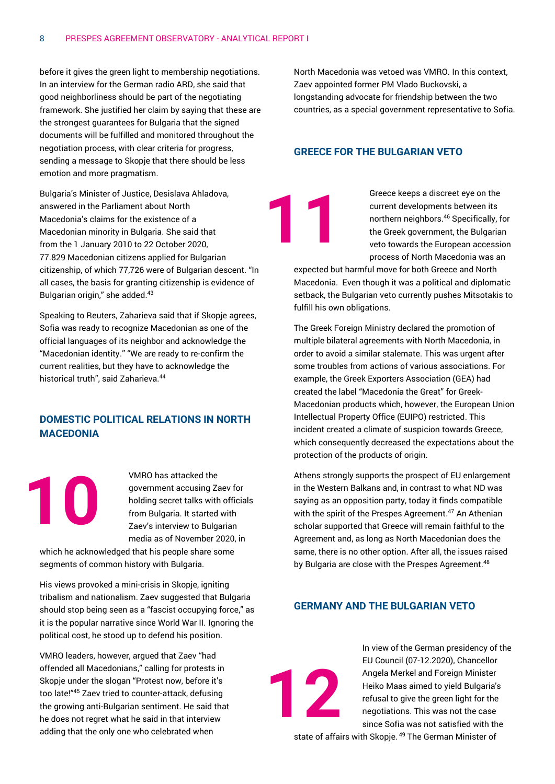before it gives the green light to membership negotiations. In an interview for the German radio ARD, she said that good neighborliness should be part of the negotiating framework. She justified her claim by saying that these are the strongest guarantees for Bulgaria that the signed documents will be fulfilled and monitored throughout the negotiation process, with clear criteria for progress, sending a message to Skopje that there should be less emotion and more pragmatism.

Bulgaria's Minister of Justice, Desislava Ahladova, answered in the Parliament about North Macedonia's claims for the existence of a Macedonian minority in Bulgaria. She said that from the 1 January 2010 to 22 October 2020, 77.829 Macedonian citizens applied for Bulgarian citizenship, of which 77,726 were of Bulgarian descent. "In all cases, the basis for granting citizenship is evidence of Bulgarian origin," she added.<sup>43</sup>

Speaking to Reuters, Zaharieva said that if Skopje agrees, Sofia was ready to recognize Macedonian as one of the official languages of its neighbor and acknowledge the "Macedonian identity." "We are ready to re-confirm the current realities, but they have to acknowledge the historical truth", said Zaharieva.<sup>44</sup>

# **DOMESTIC POLITICAL RELATIONS IN NORTH MACEDONIA**

VMRO has attacked the government accusing Zaev for holding secret talks with officials from Bulgaria. It started with Zaev's interview to Bulgarian media as of November 2020, in

which he acknowledged that his people share some segments of common history with Bulgaria.

**10**

His views provoked a mini-crisis in Skopje, igniting tribalism and nationalism. Zaev suggested that Bulgaria should stop being seen as a "fascist occupying force," as it is the popular narrative since World War II. Ignoring the political cost, he stood up to defend his position.

VMRO leaders, however, argued that Zaev "had offended all Macedonians," calling for protests in Skopje under the slogan "Protest now, before it's too late!"<sup>45</sup> Zaev tried to counter-attack, defusing the growing anti-Bulgarian sentiment. He said that he does not regret what he said in that interview adding that the only one who celebrated when

North Macedonia was vetoed was VMRO. In this context, Zaev appointed former PM Vlado Buckovski, a longstanding advocate for friendship between the two countries, as a special government representative to Sofia.

## **GREECE FOR THE BULGARIAN VETO**

**11**

Greece keeps a discreet eye on the current developments between its northern neighbors.<sup>46</sup> Specifically, for the Greek government, the Bulgarian veto towards the European accession process of North Macedonia was an

expected but harmful move for both Greece and North Macedonia. Even though it was a political and diplomatic setback, the Bulgarian veto currently pushes Mitsotakis to fulfill his own obligations.

The Greek Foreign Ministry declared the promotion of multiple bilateral agreements with North Macedonia, in order to avoid a similar stalemate. This was urgent after some troubles from actions of various associations. For example, the Greek Exporters Association (GEA) had created the label "Macedonia the Great" for Greek-Macedonian products which, however, the European Union Intellectual Property Office (EUIPO) restricted. This incident created a climate of suspicion towards Greece, which consequently decreased the expectations about the protection of the products of origin.

Athens strongly supports the prospect of EU enlargement in the Western Balkans and, in contrast to what ND was saying as an opposition party, today it finds compatible with the spirit of the Prespes Agreement.<sup>47</sup> An Athenian scholar supported that Greece will remain faithful to the Agreement and, as long as North Macedonian does the same, there is no other option. After all, the issues raised by Bulgaria are close with the Prespes Agreement.<sup>48</sup>

# **GERMANY AND THE BULGARIAN VETO**

**12**

In view of the German presidency of the EU Council (07-12.2020), Chancellor Angela Merkel and Foreign Minister Heiko Maas aimed to yield Bulgaria's refusal to give the green light for the negotiations. This was not the case since Sofia was not satisfied with the

state of affairs with Skopje. <sup>49</sup> The German Minister of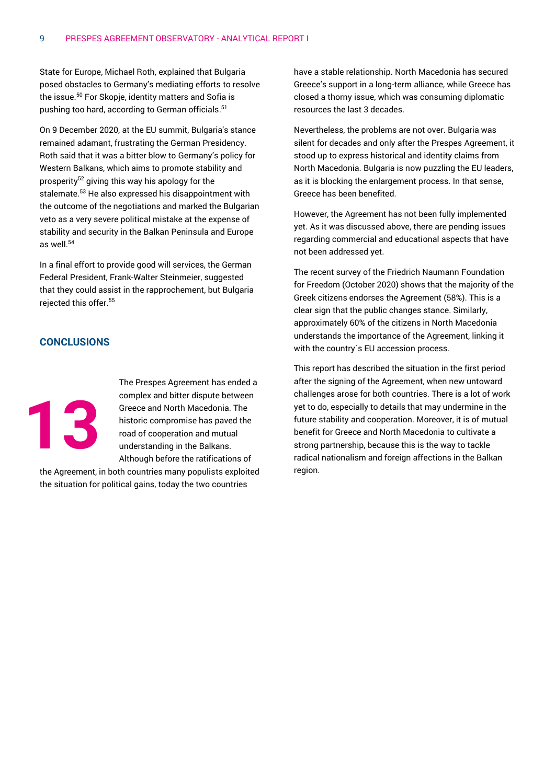State for Europe, Michael Roth, explained that Bulgaria posed obstacles to Germany's mediating efforts to resolve the issue.<sup>50</sup> For Skopje, identity matters and Sofia is pushing too hard, according to German officials. 51

On 9 December 2020, at the EU summit, Bulgaria's stance remained adamant, frustrating the German Presidency. Roth said that it was a bitter blow to Germany's policy for Western Balkans, which aims to promote stability and prosperity<sup>52</sup> giving this way his apology for the stalemate. <sup>53</sup> He also expressed his disappointment with the outcome of the negotiations and marked the Bulgarian veto as a very severe political mistake at the expense of stability and security in the Balkan Peninsula and Europe as well.<sup>54</sup>

In a final effort to provide good will services, the German Federal President, Frank-Walter Steinmeier, suggested that they could assist in the rapprochement, but Bulgaria rejected this offer.<sup>55</sup>

# **CONCLUSIONS**



The Prespes Agreement has ended a complex and bitter dispute between Greece and North Macedonia. The historic compromise has paved the road of cooperation and mutual understanding in the Balkans. Although before the ratifications of

the Agreement, in both countries many populists exploited the situation for political gains, today the two countries

have a stable relationship. North Macedonia has secured Greece's support in a long-term alliance, while Greece has closed a thorny issue, which was consuming diplomatic resources the last 3 decades.

Nevertheless, the problems are not over. Bulgaria was silent for decades and only after the Prespes Agreement, it stood up to express historical and identity claims from North Macedonia. Bulgaria is now puzzling the EU leaders, as it is blocking the enlargement process. In that sense, Greece has been benefited.

However, the Agreement has not been fully implemented yet. As it was discussed above, there are pending issues regarding commercial and educational aspects that have not been addressed yet.

The recent survey of the Friedrich Naumann Foundation for Freedom (October 2020) shows that the majority of the Greek citizens endorses the Agreement (58%). This is a clear sign that the public changes stance. Similarly, approximately 60% of the citizens in North Macedonia understands the importance of the Agreement, linking it with the country´s EU accession process.

This report has described the situation in the first period after the signing of the Agreement, when new untoward challenges arose for both countries. There is a lot of work yet to do, especially to details that may undermine in the future stability and cooperation. Moreover, it is of mutual benefit for Greece and North Macedonia to cultivate a strong partnership, because this is the way to tackle radical nationalism and foreign affections in the Balkan region.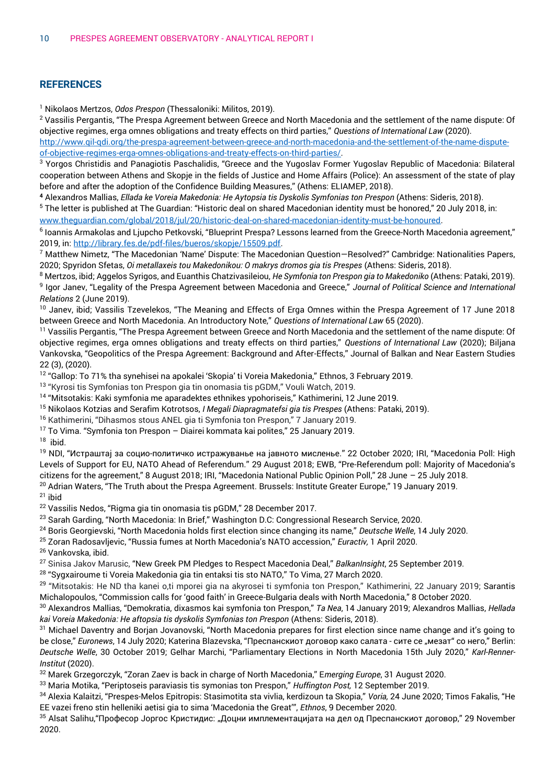# **REFERENCES**

<sup>1</sup> Nikolaos Mertzos, *Odos Prespon* (Thessaloniki: Militos, 2019).

<sup>2</sup> Vassilis Pergantis, "The Prespa Agreement between Greece and North Macedonia and the settlement of the name dispute: Of objective regimes, erga omnes obligations and treaty effects on third parties," *Questions of International Law* (2020).

[http://www.qil-qdi.org/the-prespa-agreement-between-greece-and-north-macedonia-and-the-settlement-of-the-name-dispute](http://www.qil-qdi.org/the-prespa-agreement-between-greece-and-north-macedonia-and-the-settlement-of-the-name-dispute-of-objective-regimes-erga-omnes-obligations-and-treaty-effects-on-third-parties/)[of-objective-regimes-erga-omnes-obligations-and-treaty-effects-on-third-parties/.](http://www.qil-qdi.org/the-prespa-agreement-between-greece-and-north-macedonia-and-the-settlement-of-the-name-dispute-of-objective-regimes-erga-omnes-obligations-and-treaty-effects-on-third-parties/)

<sup>3</sup> Yorgos Christidis and Panagiotis Paschalidis, "Greece and the Yugoslav Former Yugoslav Republic of Macedonia: Bilateral cooperation between Athens and Skopje in the fields of Justice and Home Affairs (Police): An assessment of the state of play before and after the adoption of the Confidence Building Measures," (Athens: ELIAMEP, 2018).

**<sup>4</sup>** Αlexandros Mallias, *Ellada ke Voreia Makedonia: He Aytopsia tis Dyskolis Symfonias ton Prespon* (Athens: Sideris, 2018).

<sup>5</sup> The letter is published at The Guardian: "Historic deal on shared Macedonian identity must be honored," 20 July 2018, in: [www.theguardian.com/global/2018/jul/20/historic-deal-on-shared-macedonian-identity-must-be-honoured.](http://www.theguardian.com/global/2018/jul/20/historic-deal-on-shared-macedonian-identity-must-be-honoured)

6 Ioannis Armakolas and Ljupcho Petkovski, "Blueprint Prespa? Lessons learned from the Greece-North Macedonia agreement," 2019, in[: http://library.fes.de/pdf-files/bueros/skopje/15509.pdf.](http://library.fes.de/pdf-files/bueros/skopje/15509.pdf)

 $7$  Matthew Nimetz, "The Macedonian 'Name' Dispute: The Macedonian Question–Resolved?" Cambridge: Nationalities Papers, 2020; Spyridon Sfetas, *Oi metallaxeis tou Makedonikou: O makrys dromos gia tis Prespes* (Athens: Sideris, 2018).

<sup>8</sup> Mertzos, ibid; Αggelos Syrigos, and Εuanthis Chatzivasileiou, *He Symfonia ton Prespon gia to Makedoniko* (Athens: Pataki, 2019). 9 Igor Janev, "Legality of the Prespa Agreement between Macedonia and Greece," *Journal of Political Science and International Relations* 2 (June 2019).

<sup>10</sup> Janev, ibid; Vassilis Tzevelekos, "The Meaning and Effects of Erga Omnes within the Prespa Agreement of 17 June 2018 between Greece and North Macedonia. An Introductory Note," *Questions of International Law* 65 (2020).

<sup>11</sup> Vassilis Pergantis, "The Prespa Agreement between Greece and North Macedonia and the settlement of the name dispute: Of objective regimes, erga omnes obligations and treaty effects on third parties," *Questions of International Law* (2020); Biljana Vankovska, "Geopolitics of the Prespa Agreement: Background and After-Effects," Journal of Balkan and Near Eastern Studies 22 (3), (2020).

<sup>12</sup> "Gallop: To 71% tha synehisei na apokalei 'Skopia' ti Voreia Makedonia," Ethnos, 3 February 2019.

<sup>13</sup> "Kyrosi tis Symfonias ton Prespon gia tin onomasia tis pGDM," Vouli Watch, 2019.

<sup>14</sup> "Mitsotakis: Kaki symfonia me aparadektes ethnikes ypohoriseis," Kathimerini, 12 June 2019.

<sup>15</sup> Nikolaos Kotzias and Serafim Kotrotsos, *I Megali Diapragmatefsi gia tis Prespes* (Athens: Pataki, 2019).

<sup>16</sup> Kathimerini, "Dihasmos stous ANEL gia ti Symfonia ton Prespon," 7 January 2019.

<sup>17</sup> To Vima. "Symfonia ton Prespon – Diairei kommata kai polites," 25 January 2019.

<sup>18</sup> ibid.

<sup>19</sup> NDI, "Истраштај за социо-политичко истражуванье на јавното мисленье." 22 October 2020; IRI, "Macedonia Poll: High Levels of Support for EU, NATO Ahead of Referendum." 29 August 2018; EWB, "Pre-Referendum poll: Majority of Macedonia's citizens for the agreement," 8 August 2018; IRI, "Macedonia National Public Opinion Poll," 28 June – 25 July 2018. <sup>20</sup> Adrian Waters, "The Truth about the Prespa Agreement. Brussels: Institute Greater Europe," 19 January 2019.

### $21$  ibid

<sup>22</sup> Vassilis Nedos, "Rigma gia tin onomasia tis pGDM," 28 December 2017.

<sup>23</sup> Sarah Garding, "North Macedonia: In Brief," Washington D.C: Congressional Research Service, 2020.

<sup>24</sup> Boris Georgievski, "North Macedonia holds first election since changing its name," *Deutsche Welle*, 14 July 2020.

<sup>25</sup> Zoran Radosavljevic, "Russia fumes at North Macedonia's NATO accession," *Euractiv,* 1 April 2020.

<sup>26</sup> Vankovska, ibid.

<sup>27</sup> Sinisa Jakov Marusic, "New Greek PM Pledges to Respect Macedonia Deal," *BalkanInsight*, 25 September 2019.

<sup>28</sup> "Svaxairoume ti Voreia Makedonia gia tin entaksi tis sto NATO," To Vima, 27 March 2020.

<sup>29</sup> "Mitsotakis: He ND tha kanei o,ti mporei gia na akyrosei ti symfonia ton Prespon," Kathimerini, 22 January 2019; Sarantis Michalopoulos, "Commission calls for 'good faith' in Greece-Bulgaria deals with North Macedonia," 8 October 2020.

<sup>30</sup> Αlexandros Mallias, "Demokratia, dixasmos kai symfonia ton Prespon," *Ta Nea*, 14 January 2019; Αlexandros Mallias, *Hellada kai Voreia Makedonia: He aftopsia tis dyskolis Symfonias ton Prespon* (Athens: Sideris, 2018).

<sup>31</sup> Michael Daventry and Borjan Jovanovski, "North Macedonia prepares for first election since name change and it's going to be close," *Euronews*, 14 July 2020; Katerina Blazevska, "Преспанскиот договор како салата - сите се "мезат" со него," Berlin: *Deutsche Welle*, 30 October 2019; Gelhar Marchi, "Parliamentary Elections in North Macedonia 15th July 2020," *Karl-Renner-Institut* (2020).

<sup>32</sup> Marek Grzegorczyk, "Zoran Zaev is back in charge of North Macedonia," E*merging Europe*, 31 August 2020.

<sup>33</sup> Maria Motika, "Periptoseis paraviasis tis symonias ton Prespon," *Huffington Post,* 12 September 2019.

<sup>34</sup> Alexia Kalaitzi, "Prespes-Melos Epitropis: Stasimotita sta vivlia, kerdizoun ta Skopia," *Voria,* 24 June 2020; Timos Fakalis, "He EE vazei freno stin helleniki aetisi gia to sima 'Macedonia the Great'", *Ethnos*, 9 December 2020.

<sup>35</sup> Alsat Salihu, "Професор Јоргос Кристидис: "Доцни имплементацијата на дел од Преспанскиот договор," 29 November 2020.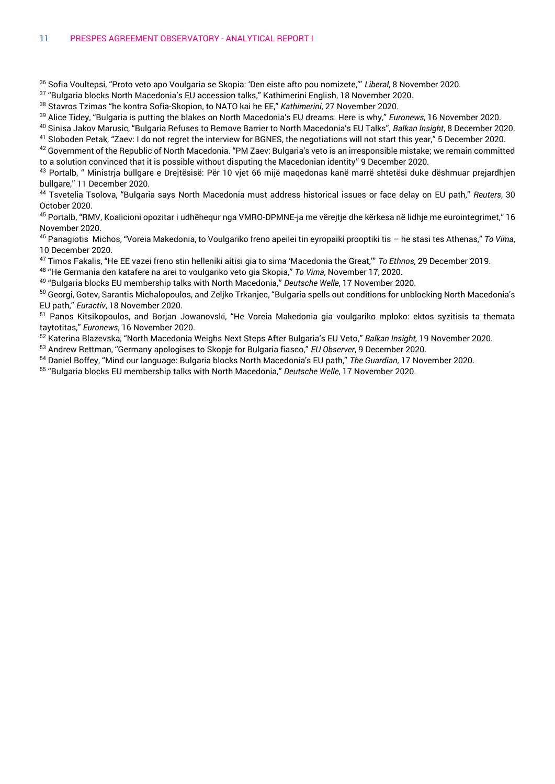<sup>36</sup> Sofia Voultepsi, "Proto veto apo Voulgaria se Skopia: 'Den eiste afto pou nomizete,'" *Liberal*, 8 November 2020.

 $^{\rm 37}$  "Bulgaria blocks North Macedonia's EU accession talks," Kathimerini English, 18 November 2020.

<sup>38</sup> Stavros Tzimas "he kontra Sofia-Skopion, to NATO kai he EE," *Kathimerini*, 27 November 2020.

<sup>39</sup> Alice Tidey, "Bulgaria is putting the blakes on North Macedonia's EU dreams. Here is why," *Euronews*, 16 November 2020.

<sup>40</sup> Sinisa Jakov Marusic, "Bulgaria Refuses to Remove Barrier to North Macedonia's EU Talks", *Balkan Insight*, 8 December 2020.

<sup>41</sup> Sloboden Petak, "Zaev: I do not regret the interview for BGNES, the negotiations will not start this year," 5 December 2020.

42 Government of the Republic of North Macedonia. "PM Zaev: Bulgaria's veto is an irresponsible mistake; we remain committed to a solution convinced that it is possible without disputing the Macedonian identity" 9 December 2020.

<sup>43</sup> Portalb, " Ministria bullgare e Dreitësisë: Për 10 vjet 66 mijë magedonas kanë marrë shtetësi duke dëshmuar prejardhjen bullgare," 11 December 2020.

<sup>44</sup> Tsvetelia Tsolova, "Bulgaria says North Macedonia must address historical issues or face delay on EU path," *Reuters*, 30 October 2020.

<sup>45</sup> Portalb, "RMV, Koalicioni opozitar i udhëhequr nga VMRO-DPMNE-ja me vërejtje dhe kërkesa në lidhje me eurointegrimet," 16 November 2020.

<sup>46</sup> Panagiotis Michos, "Voreia Makedonia, to Voulgariko freno apeilei tin eyropaiki prooptiki tis – he stasi tes Athenas," *To Vima*, 10 December 2020.

<sup>47</sup> Timos Fakalis, "He EE vazei freno stin helleniki aitisi gia to sima 'Macedonia the Great,'" *To Ethnos*, 29 December 2019.

<sup>48</sup> "He Germania den katafere na arei to voulgariko veto gia Skopia," *To Vima*, November 17, 2020.

49 "Bulgaria blocks EU membership talks with North Macedonia," *Deutsche Welle*, 17 November 2020.

50 Georgi, Gotev, Sarantis Michalopoulos, and Zeljko Trkanjec, "Bulgaria spells out conditions for unblocking North Macedonia's EU path," *Euractiv*, 18 November 2020.

<sup>51</sup> Panos Kitsikopoulos, and Borjan Jowanovski, "He Voreia Makedonia gia voulgariko mploko: ektos syzitisis ta themata taytotitas," *Euronews*, 16 November 2020.

<sup>52</sup> Katerina Blazevska, "North Macedonia Weighs Next Steps After Bulgaria's EU Veto," *Balkan Insight,* 19 November 2020.

<sup>53</sup> Andrew Rettman, "Germany apologises to Skopje for Bulgaria fiasco," *EU Observer*, 9 December 2020.

<sup>54</sup> Daniel Boffey, "Mind our language: Bulgaria blocks North Macedonia's EU path," *The Guardian*, 17 November 2020.

55 "Bulgaria blocks EU membership talks with North Macedonia," *Deutsche Welle*, 17 November 2020.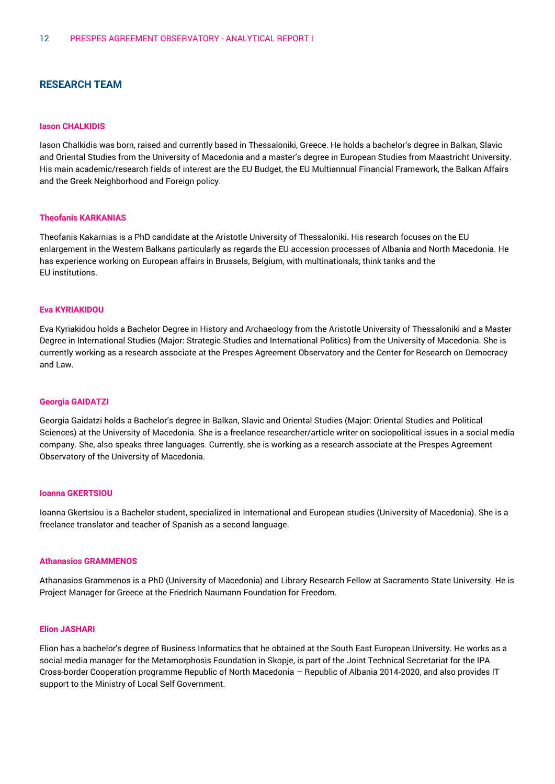# **RESEARCH TEAM**

#### **Iason CHALKIDIS**

Iason Chalkidis was born, raised and currently based in Thessaloniki, Greece. He holds a bachelor's degree in Balkan, Slavic and Oriental Studies from the University of Macedonia and a master's degree in European Studies from Maastricht University. His main academic/research fields of interest are the EU Budget, the EU Multiannual Financial Framework, the Balkan Affairs and the Greek Neighborhood and Foreign policy.

#### **Theofanis KARKANIAS**

Theofanis Kakarnias is a PhD candidate at the Aristotle University of Thessaloniki. His research focuses on the EU enlargement in the Western Balkans particularly as regards the EU accession processes of Albania and North Macedonia. He has experience working on European affairs in Brussels, Belgium, with multinationals, think tanks and the EU institutions.

#### **Eva KYRIAKIDOU**

Eva Kyriakidou holds a Bachelor Degree in History and Archaeology from the Aristotle University of Thessaloniki and a Master Degree in International Studies (Major: Strategic Studies and International Politics) from the University of Macedonia. She is currently working as a research associate at the Prespes Agreement Observatory and the Center for Research on Democracy and Law.

#### **Georgia GAIDATZI**

Georgia Gaidatzi holds a Bachelor's degree in Balkan, Slavic and Oriental Studies (Major: Oriental Studies and Political Sciences) at the University of Macedonia. She is a freelance researcher/article writer on sociopolitical issues in a social media company. She, also speaks three languages. Currently, she is working as a research associate at the Prespes Agreement Observatory of the University of Macedonia.

#### **Ioanna GKERTSIOU**

Ioanna Gkertsiou is a Bachelor student, specialized in International and European studies (University of Macedonia). She is a freelance translator and teacher of Spanish as a second language.

#### **Athanasios GRAMMENOS**

Athanasios Grammenos is a PhD (University of Macedonia) and Library Research Fellow at Sacramento State University. He is Project Manager for Greece at the Friedrich Naumann Foundation for Freedom.

#### **Elion JASHARI**

Elion has a bachelor's degree of Business Informatics that he obtained at the South East European University. He works as a social media manager for the Metamorphosis Foundation in Skopje, is part of the Joint Technical Secretariat for the IPA Cross-border Cooperation programme Republic of North Macedonia – Republic of Albania 2014-2020, and also provides IT support to the Ministry of Local Self Government.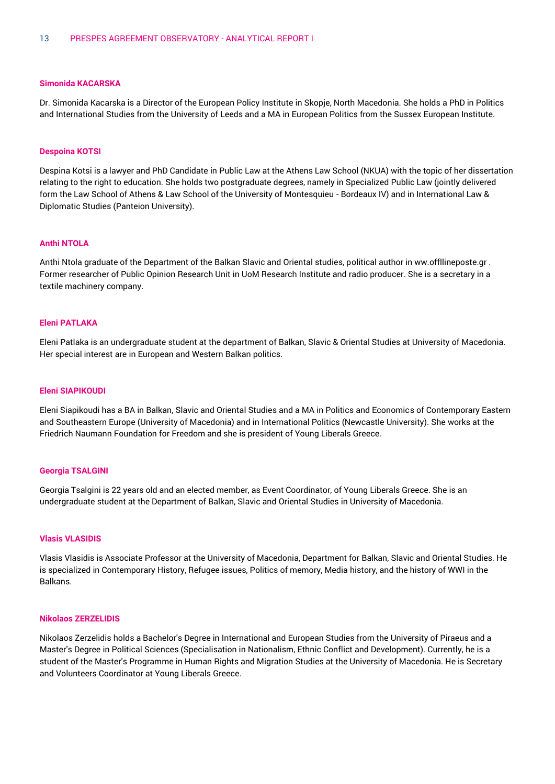#### **Simonida KACARSKA**

Dr. Simonida Kacarska is a Director of the European Policy Institute in Skopje, North Macedonia. She holds a PhD in Politics and International Studies from the University of Leeds and a MA in European Politics from the Sussex European Institute.

#### **Despoina KOTSI**

Despina Kotsi is a lawyer and PhD Candidate in Public Law at the Athens Law School (NKUA) with the topic of her dissertation relating to the right to education. She holds two postgraduate degrees, namely in Specialized Public Law (jointly delivered form the Law School of Athens & Law School of the University of Montesquieu - Bordeaux IV) and in International Law & Diplomatic Studies (Panteion University).

#### **Anthi NTOLA**

Anthi Ntola graduate of the Department of the Balkan Slavic and Oriental studies, political author in ww.offllineposte.gr . Former researcher of Public Opinion Research Unit in UoM Research Institute and radio producer. She is a secretary in a textile machinery company.

#### **Eleni PATLAKA**

Eleni Patlaka is an undergraduate student at the department of Balkan, Slavic & Oriental Studies at University of Macedonia. Her special interest are in European and Western Balkan politics.

#### **Eleni SIAPIKOUDI**

Eleni Siapikoudi has a BA in Balkan, Slavic and Oriental Studies and a MA in Politics and Economics of Contemporary Eastern and Southeastern Europe (University of Macedonia) and in International Politics (Newcastle University). She works at the Friedrich Naumann Foundation for Freedom and she is president of Young Liberals Greece.

#### **Georgia TSALGINI**

Georgia Tsalgini is 22 years old and an elected member, as Event Coordinator, of Young Liberals Greece. She is an undergraduate student at the Department of Balkan, Slavic and Oriental Studies in University of Macedonia.

#### **Vlasis VLASIDIS**

Vlasis Vlasidis is Associate Professor at the University of Macedonia, Department for Balkan, Slavic and Oriental Studies. He is specialized in Contemporary History, Refugee issues, Politics of memory, Media history, and the history of WWI in the Balkans.

#### **Nikolaos ZERZELIDIS**

Nikolaos Zerzelidis holds a Bachelor's Degree in International and European Studies from the University of Piraeus and a Master's Degree in Political Sciences (Specialisation in Nationalism, Ethnic Conflict and Development). Currently, he is a student of the Master's Programme in Human Rights and Migration Studies at the University of Macedonia. He is Secretary and Volunteers Coordinator at Young Liberals Greece.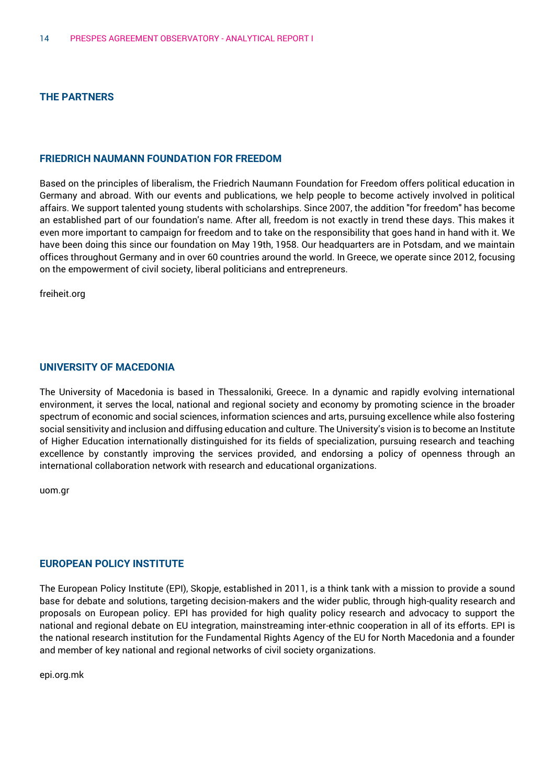# **THE PARTNERS**

# **FRIEDRICH NAUMANN FOUNDATION FOR FREEDOM**

Based on the principles of liberalism, the Friedrich Naumann Foundation for Freedom offers political education in Germany and abroad. With our events and publications, we help people to become actively involved in political affairs. We support talented young students with scholarships. Since 2007, the addition "for freedom" has become an established part of our foundation's name. After all, freedom is not exactly in trend these days. This makes it even more important to campaign for freedom and to take on the responsibility that goes hand in hand with it. We have been doing this since our foundation on May 19th, 1958. Our headquarters are in Potsdam, and we maintain offices throughout Germany and in over 60 countries around the world. In Greece, we operate since 2012, focusing on the empowerment of civil society, liberal politicians and entrepreneurs.

freiheit.org

## **UNIVERSITY OF MACEDONIA**

The University of Macedonia is based in Thessaloniki, Greece. In a dynamic and rapidly evolving international environment, it serves the local, national and regional society and economy by promoting science in the broader spectrum of economic and social sciences, information sciences and arts, pursuing excellence while also fostering social sensitivity and inclusion and diffusing education and culture. The University's vision is to become an Institute of Higher Education internationally distinguished for its fields of specialization, pursuing research and teaching excellence by constantly improving the services provided, and endorsing a policy of openness through an international collaboration network with research and educational organizations.

uom.gr

## **EUROPEAN POLICY INSTITUTE**

The European Policy Institute (EPI), Skopje, established in 2011, is a think tank with a mission to provide a sound base for debate and solutions, targeting decision-makers and the wider public, through high-quality research and proposals on European policy. EPI has provided for high quality policy research and advocacy to support the national and regional debate on EU integration, mainstreaming inter-ethnic cooperation in all of its efforts. EPI is the national research institution for the Fundamental Rights Agency of the EU for North Macedonia and a founder and member of key national and regional networks of civil society organizations.

epi.org.mk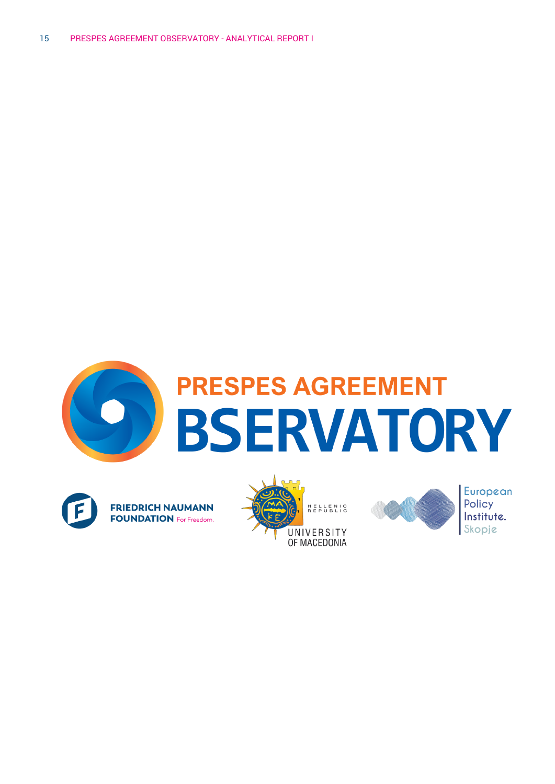







**European** Policy Institute.